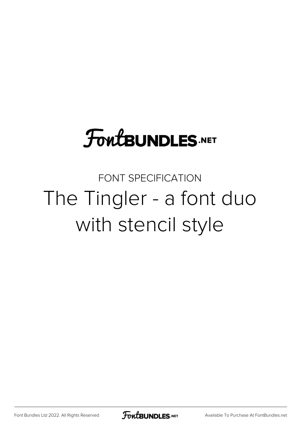## **FoutBUNDLES.NET**

FONT SPECIFICATION The Tingler - a font duo with stencil style

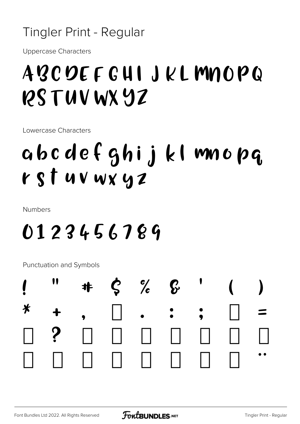#### Tingler Print - Regular

**Uppercase Characters** 

## ABCDEFGHIJKLMNOPQ PSTUVWXYZ

Lowercase Characters

## abcdefghijkl mnopq rst uv wx yz

**Numbers** 

### 0123456789

Punctuation and Symbols

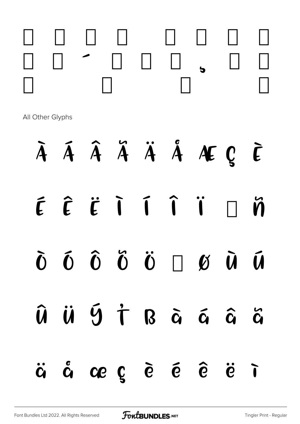

All Other Glyphs

### À Á Â Ã Ä Å Æ Ç È ÉÊËĨĨÎÏ  $\tilde{\mathbf{n}}$ Đ  $\hat{0}$   $\hat{0}$   $\hat{0}$   $\hat{0}$   $\times$   $\hat{0}$   $\hat{0}$  $\tilde{0}$  $\tilde{\bm{u}}$ ÜÝŤ Bàáâã  $\hat{\bm{U}}$  $\hat{G}$  ce  $\hat{G}$   $\hat{G}$   $\hat{G}$   $\hat{G}$  $\ddot{\mathbf{C}}$  $\ddot{\mathbf{e}}$  $\tilde{I}$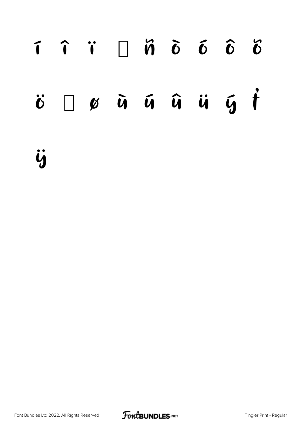# í î ï ð ñ ò ó ô õ  $\ddot{\bm{c}}$   $\div$  ø  $\ddot{\bm{u}}$  as  $\ddot{\bm{u}}$  as  $\ddot{\bm{v}}$  as  $\ddot{\bm{v}}$

ÿ

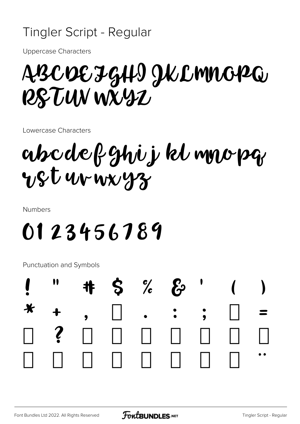### Tingler Script - Regular

**Uppercase Characters** 

## ABCDEJGHI JKLMNOPQ R& TUN WXYZ

Lowercase Characters

## abcdefghij kl mnopg USt ur wx yz

**Numbers** 

## 0123456789

Punctuation and Symbols

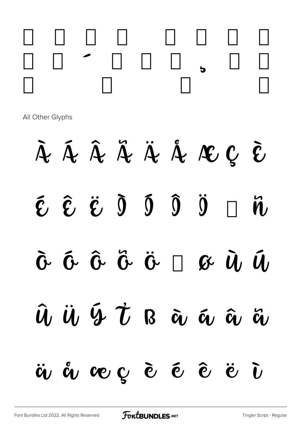

All Other Glyphs

À Á Â Ã Ä Á Æ Ç Č  $\tilde{\epsilon}$   $\tilde{\epsilon}$   $\tilde{\epsilon}$   $\tilde{0}$  $\begin{matrix} 0 & 0 \end{matrix}$  $\ddot{0}$  $\ddot{\mathbf{n}}$ Đ  $\mathfrak{F}\times\ddot{\mathfrak{G}}\quad \mathfrak{F}\times\ddot{\mathfrak{G}}\quad \mathfrak{H}\quad \mathfrak{H}$  $\bm{\hat{U}}$  $\tilde{u}$  $\hat{u}$ ,  $\ddot{u}$ ,  $\ddot{u}$   $\dot{\tau}$   $_8$   $\ddot{\alpha}$ ,  $\ddot{\alpha}$ ,  $\ddot{\alpha}$  $\ddot{\bm{\alpha}}$ ä å æç è é ê  $\ddot{\mathbf{c}}$  $\tilde{\bm{U}}$